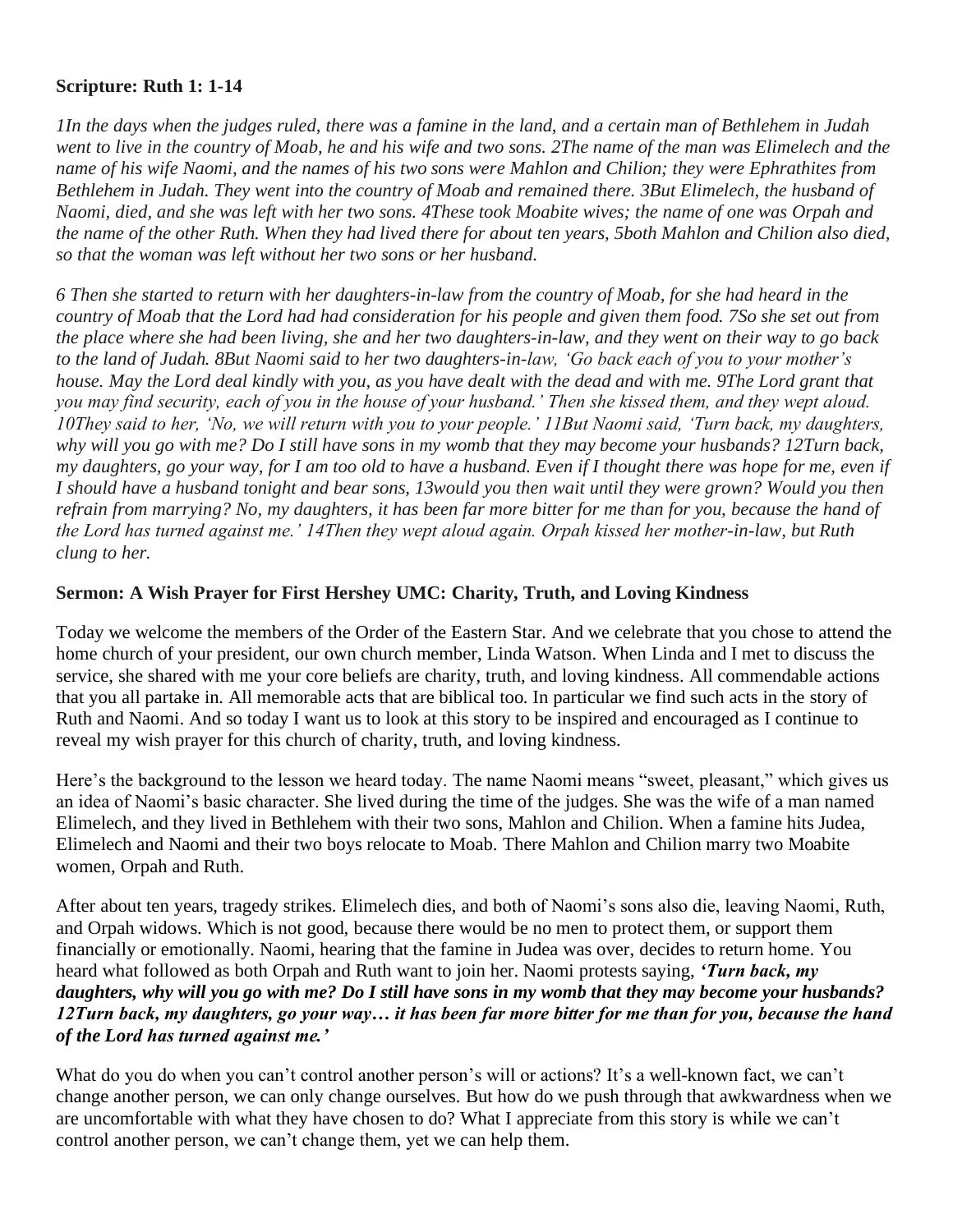## **Scripture: Ruth 1: 1-14**

*1In the days when the judges ruled, there was a famine in the land, and a certain man of Bethlehem in Judah went to live in the country of Moab, he and his wife and two sons. 2The name of the man was Elimelech and the name of his wife Naomi, and the names of his two sons were Mahlon and Chilion; they were Ephrathites from Bethlehem in Judah. They went into the country of Moab and remained there. 3But Elimelech, the husband of Naomi, died, and she was left with her two sons. 4These took Moabite wives; the name of one was Orpah and the name of the other Ruth. When they had lived there for about ten years, 5both Mahlon and Chilion also died, so that the woman was left without her two sons or her husband.*

*6 Then she started to return with her daughters-in-law from the country of Moab, for she had heard in the country of Moab that the Lord had had consideration for his people and given them food. 7So she set out from the place where she had been living, she and her two daughters-in-law, and they went on their way to go back to the land of Judah. 8But Naomi said to her two daughters-in-law, 'Go back each of you to your mother's house. May the Lord deal kindly with you, as you have dealt with the dead and with me. 9The Lord grant that you may find security, each of you in the house of your husband.' Then she kissed them, and they wept aloud. 10They said to her, 'No, we will return with you to your people.' 11But Naomi said, 'Turn back, my daughters, why will you go with me? Do I still have sons in my womb that they may become your husbands? 12Turn back, my daughters, go your way, for I am too old to have a husband. Even if I thought there was hope for me, even if I should have a husband tonight and bear sons, 13would you then wait until they were grown? Would you then*  refrain from marrying? No, my daughters, it has been far more bitter for me than for you, because the hand of *the Lord has turned against me.' 14Then they wept aloud again. Orpah kissed her mother-in-law, but Ruth clung to her.*

## **Sermon: A Wish Prayer for First Hershey UMC: Charity, Truth, and Loving Kindness**

Today we welcome the members of the Order of the Eastern Star. And we celebrate that you chose to attend the home church of your president, our own church member, Linda Watson. When Linda and I met to discuss the service, she shared with me your core beliefs are charity, truth, and loving kindness. All commendable actions that you all partake in. All memorable acts that are biblical too. In particular we find such acts in the story of Ruth and Naomi. And so today I want us to look at this story to be inspired and encouraged as I continue to reveal my wish prayer for this church of charity, truth, and loving kindness.

Here's the background to the lesson we heard today. The name Naomi means "sweet, pleasant," which gives us an idea of Naomi's basic character. She lived during the time of the judges. She was the wife of a man named Elimelech, and they lived in Bethlehem with their two sons, Mahlon and Chilion. When a famine hits Judea, Elimelech and Naomi and their two boys relocate to Moab. There Mahlon and Chilion marry two Moabite women, Orpah and Ruth.

After about ten years, tragedy strikes. Elimelech dies, and both of Naomi's sons also die, leaving Naomi, Ruth, and Orpah widows. Which is not good, because there would be no men to protect them, or support them financially or emotionally. Naomi, hearing that the famine in Judea was over, decides to return home. You heard what followed as both Orpah and Ruth want to join her. Naomi protests saying, *'Turn back, my daughters, why will you go with me? Do I still have sons in my womb that they may become your husbands? 12Turn back, my daughters, go your way… it has been far more bitter for me than for you, because the hand of the Lord has turned against me.'* 

What do you do when you can't control another person's will or actions? It's a well-known fact, we can't change another person, we can only change ourselves. But how do we push through that awkwardness when we are uncomfortable with what they have chosen to do? What I appreciate from this story is while we can't control another person, we can't change them, yet we can help them.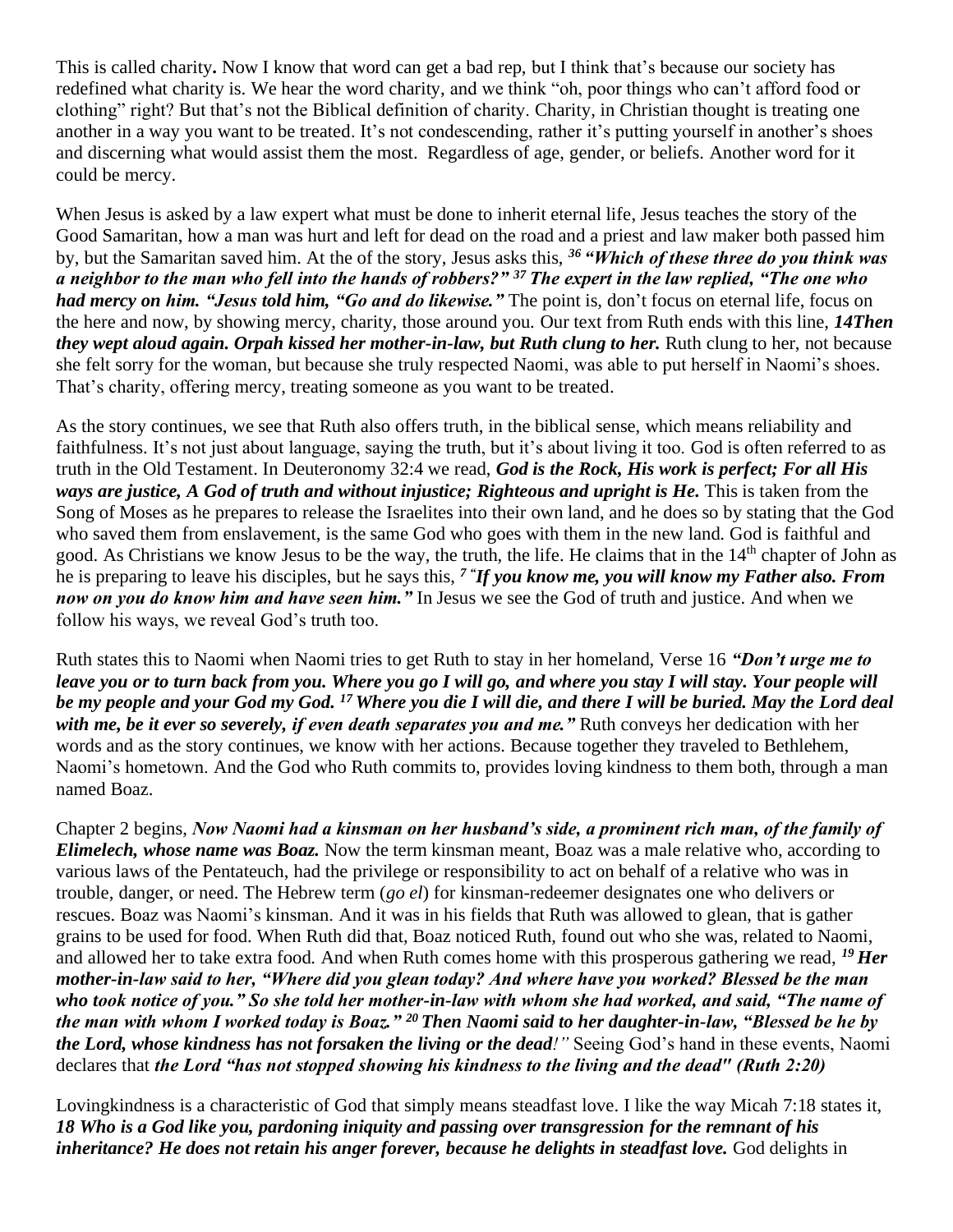This is called charity**.** Now I know that word can get a bad rep, but I think that's because our society has redefined what charity is. We hear the word charity, and we think "oh, poor things who can't afford food or clothing" right? But that's not the Biblical definition of charity. Charity, in Christian thought is treating one another in a way you want to be treated. It's not condescending, rather it's putting yourself in another's shoes and discerning what would assist them the most. Regardless of age, gender, or beliefs. Another word for it could be mercy.

When Jesus is asked by a law expert what must be done to inherit eternal life, Jesus teaches the story of the Good Samaritan, how a man was hurt and left for dead on the road and a priest and law maker both passed him by, but the Samaritan saved him. At the of the story, Jesus asks this, *<sup>36</sup> "Which of these three do you think was a neighbor to the man who fell into the hands of robbers?" <sup>37</sup> The expert in the law replied, "The one who had mercy on him. "Jesus told him, "Go and do likewise."* The point is, don't focus on eternal life, focus on the here and now, by showing mercy, charity, those around you. Our text from Ruth ends with this line, *14Then they wept aloud again. Orpah kissed her mother-in-law, but Ruth clung to her.* Ruth clung to her, not because she felt sorry for the woman, but because she truly respected Naomi, was able to put herself in Naomi's shoes. That's charity, offering mercy, treating someone as you want to be treated.

As the story continues, we see that Ruth also offers truth, in the biblical sense, which means reliability and faithfulness. It's not just about language, saying the truth, but it's about living it too. God is often referred to as truth in the Old Testament. In Deuteronomy 32:4 we read, *God is the Rock, His work is perfect; For all His ways are justice, A God of truth and without injustice; Righteous and upright is He.* This is taken from the Song of Moses as he prepares to release the Israelites into their own land, and he does so by stating that the God who saved them from enslavement, is the same God who goes with them in the new land. God is faithful and good. As Christians we know Jesus to be the way, the truth, the life. He claims that in the 14<sup>th</sup> chapter of John as he is preparing to leave his disciples, but he says this, *<sup>7</sup> " If you know me, you will know my Father also. From now on you do know him and have seen him."* In Jesus we see the God of truth and justice. And when we follow his ways, we reveal God's truth too.

Ruth states this to Naomi when Naomi tries to get Ruth to stay in her homeland, Verse 16 *"Don't urge me to leave you or to turn back from you. Where you go I will go, and where you stay I will stay. Your people will be my people and your God my God. <sup>17</sup> Where you die I will die, and there I will be buried. May the Lord deal with me, be it ever so severely, if even death separates you and me."* Ruth conveys her dedication with her words and as the story continues, we know with her actions. Because together they traveled to Bethlehem, Naomi's hometown. And the God who Ruth commits to, provides loving kindness to them both, through a man named Boaz.

Chapter 2 begins, *Now Naomi had a kinsman on her husband's side, a prominent rich man, of the family of Elimelech, whose name was Boaz.* Now the term kinsman meant, Boaz was a male relative who, according to various laws of the Pentateuch, had the privilege or responsibility to act on behalf of a relative who was in trouble, danger, or need. The Hebrew term (*go el*) for kinsman-redeemer designates one who delivers or rescues. Boaz was Naomi's kinsman. And it was in his fields that Ruth was allowed to glean, that is gather grains to be used for food. When Ruth did that, Boaz noticed Ruth, found out who she was, related to Naomi, and allowed her to take extra food. And when Ruth comes home with this prosperous gathering we read, *<sup>19</sup> Her mother-in-law said to her, "Where did you glean today? And where have you worked? Blessed be the man who took notice of you." So she told her mother-in-law with whom she had worked, and said, "The name of the man with whom I worked today is Boaz." <sup>20</sup> Then Naomi said to her daughter-in-law, "Blessed be he by the Lord, whose kindness has not forsaken the living or the dead!"* Seeing God's hand in these events, Naomi declares that *the Lord "has not stopped showing his kindness to the living and the dead" (Ruth 2:20)* 

Lovingkindness is a characteristic of God that simply means steadfast love. I like the way Micah 7:18 states it, *18 Who is a God like you, pardoning iniquity and passing over transgression for the remnant of his inheritance? He does not retain his anger forever, because he delights in steadfast love.* God delights in